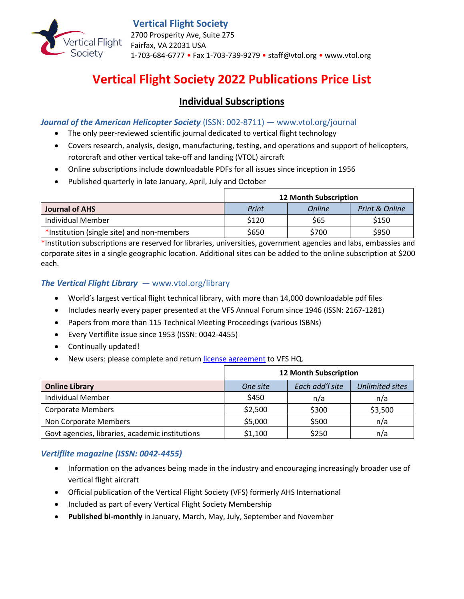

## **Vertical Flight Society**

2700 Prosperity Ave, Suite 275 Fairfax, VA 22031 USA 1-703-684-6777 • Fax 1-703-739-9279 • staff@vtol.org • www.vtol.org

# **Vertical Flight Society 2022 Publications Price List**

## **Individual Subscriptions**

*Journal of the American Helicopter Society* (ISSN: 002-8711) — www.vtol.org/journal

- The only peer-reviewed scientific journal dedicated to vertical flight technology
- Covers research, analysis, design, manufacturing, testing, and operations and support of helicopters, rotorcraft and other vertical take-off and landing (VTOL) aircraft
- Online subscriptions include downloadable PDFs for all issues since inception in 1956
- Published quarterly in late January, April, July and October

|                                            | <b>12 Month Subscription</b> |        |                           |
|--------------------------------------------|------------------------------|--------|---------------------------|
| Journal of AHS                             | Print                        | Online | <b>Print &amp; Online</b> |
| Individual Member                          | \$120                        | S65    | \$150                     |
| *Institution (single site) and non-members | \$650                        | \$700  | \$950                     |

\*Institution subscriptions are reserved for libraries, universities, government agencies and labs, embassies and corporate sites in a single geographic location. Additional sites can be added to the online subscription at \$200 each.

#### *The Vertical Flight Library* — www.vtol.org/library

- World's largest vertical flight technical library, with more than 14,000 downloadable pdf files
- Includes nearly every paper presented at the VFS [Annual Forum](https://vtol.org/annual-forum/forum-73) since 1946 (ISSN: 2167-1281)
- Papers from more than 115 [Technical Meeting](https://vtol.org/store/department/specialists-meetings-3.cfm?killnav=1) Proceedings (various ISBNs)
- Every [Vertiflite](https://vtol.org/store/department/vertiflite-5.cfm?killnav=1) issue since 1953 (ISSN: 0042-4455)
- Continually updated!
- New users: please complete and return [license agreement](http://www.vtol.org/store/license/index.cfm) to VFS HQ.

|                                                 | <b>12 Month Subscription</b> |                 |                        |
|-------------------------------------------------|------------------------------|-----------------|------------------------|
| <b>Online Library</b>                           | One site                     | Each add'l site | <b>Unlimited sites</b> |
| <b>Individual Member</b>                        | \$450                        | n/a             | n/a                    |
| <b>Corporate Members</b>                        | \$2,500                      | \$300           | \$3,500                |
| Non Corporate Members                           | \$5,000                      | \$500           | n/a                    |
| Govt agencies, libraries, academic institutions | \$1,100                      | \$250           | n/a                    |

#### *Vertiflite magazine (ISSN: 0042-4455)*

- Information on the advances being made in the industry and encouraging increasingly broader use of vertical flight aircraft
- Official publication of the Vertical Flight Society (VFS) formerly AHS International
- Included as part of every Vertical Flight Society Membership
- **Published bi-monthly** in January, March, May, July, September and November